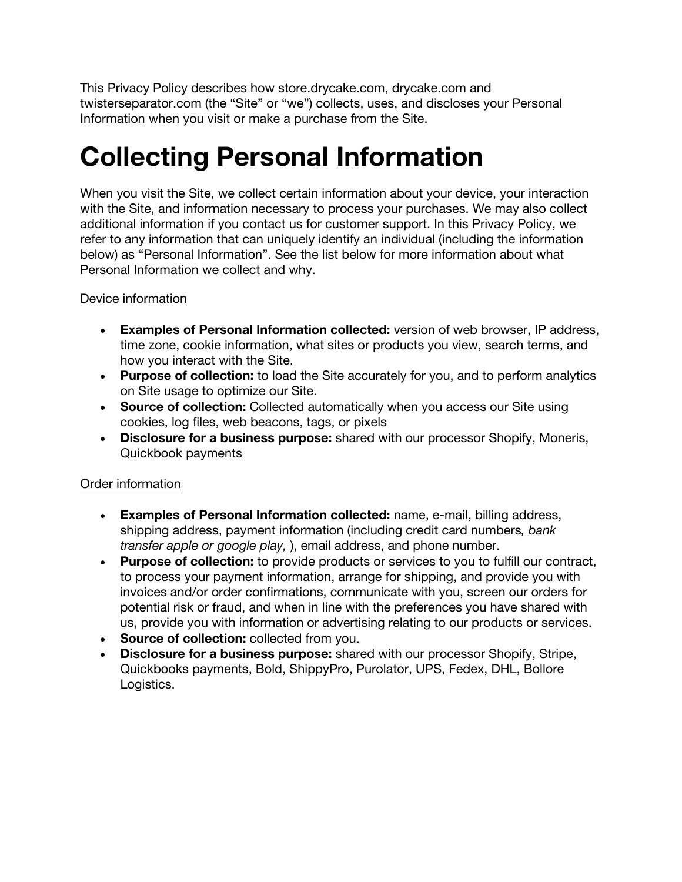This Privacy Policy describes how store.drycake.com, drycake.com and twisterseparator.com (the "Site" or "we") collects, uses, and discloses your Personal Information when you visit or make a purchase from the Site.

## **Collecting Personal Information**

When you visit the Site, we collect certain information about your device, your interaction with the Site, and information necessary to process your purchases. We may also collect additional information if you contact us for customer support. In this Privacy Policy, we refer to any information that can uniquely identify an individual (including the information below) as "Personal Information". See the list below for more information about what Personal Information we collect and why.

#### Device information

- **Examples of Personal Information collected:** version of web browser, IP address, time zone, cookie information, what sites or products you view, search terms, and how you interact with the Site.
- **Purpose of collection:** to load the Site accurately for you, and to perform analytics on Site usage to optimize our Site.
- **Source of collection:** Collected automatically when you access our Site using cookies, log files, web beacons, tags, or pixels
- **Disclosure for a business purpose:** shared with our processor Shopify, Moneris, Quickbook payments

### Order information

- **Examples of Personal Information collected:** name, e-mail, billing address, shipping address, payment information (including credit card numbers*, bank transfer apple or google play,* ), email address, and phone number.
- **Purpose of collection:** to provide products or services to you to fulfill our contract, to process your payment information, arrange for shipping, and provide you with invoices and/or order confirmations, communicate with you, screen our orders for potential risk or fraud, and when in line with the preferences you have shared with us, provide you with information or advertising relating to our products or services.
- **Source of collection:** collected from you.
- **Disclosure for a business purpose:** shared with our processor Shopify, Stripe, Quickbooks payments, Bold, ShippyPro, Purolator, UPS, Fedex, DHL, Bollore Logistics.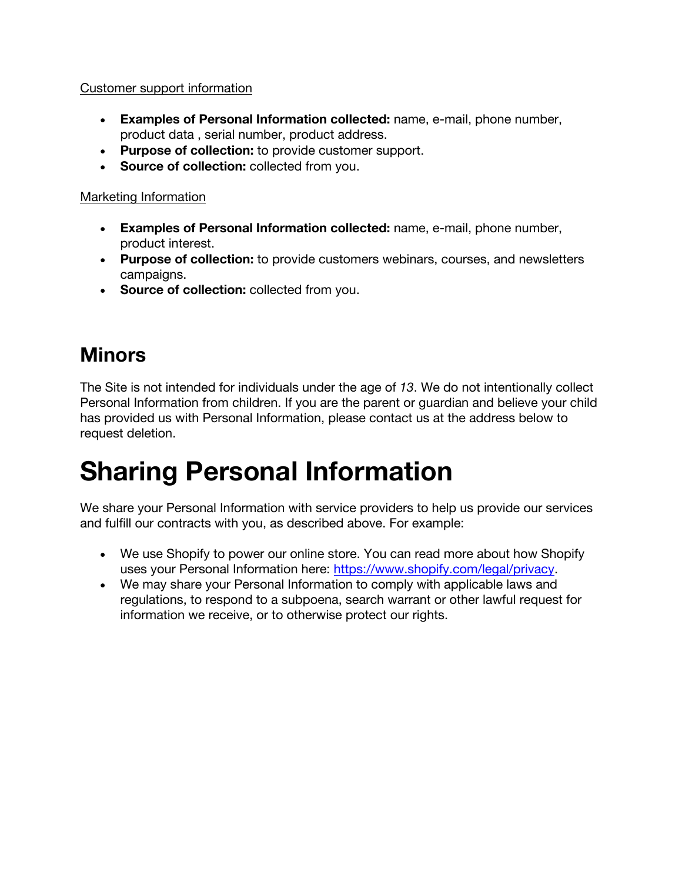#### Customer support information

- **Examples of Personal Information collected:** name, e-mail, phone number, product data , serial number, product address.
- **Purpose of collection:** to provide customer support.
- **Source of collection:** collected from you.

### Marketing Information

- **Examples of Personal Information collected:** name, e-mail, phone number, product interest.
- **Purpose of collection:** to provide customers webinars, courses, and newsletters campaigns.
- **Source of collection:** collected from you.

## **Minors**

The Site is not intended for individuals under the age of *13*. We do not intentionally collect Personal Information from children. If you are the parent or guardian and believe your child has provided us with Personal Information, please contact us at the address below to request deletion.

## **Sharing Personal Information**

We share your Personal Information with service providers to help us provide our services and fulfill our contracts with you, as described above. For example:

- We use Shopify to power our online store. You can read more about how Shopify uses your Personal Information here: https://www.shopify.com/legal/privacy.
- We may share your Personal Information to comply with applicable laws and regulations, to respond to a subpoena, search warrant or other lawful request for information we receive, or to otherwise protect our rights.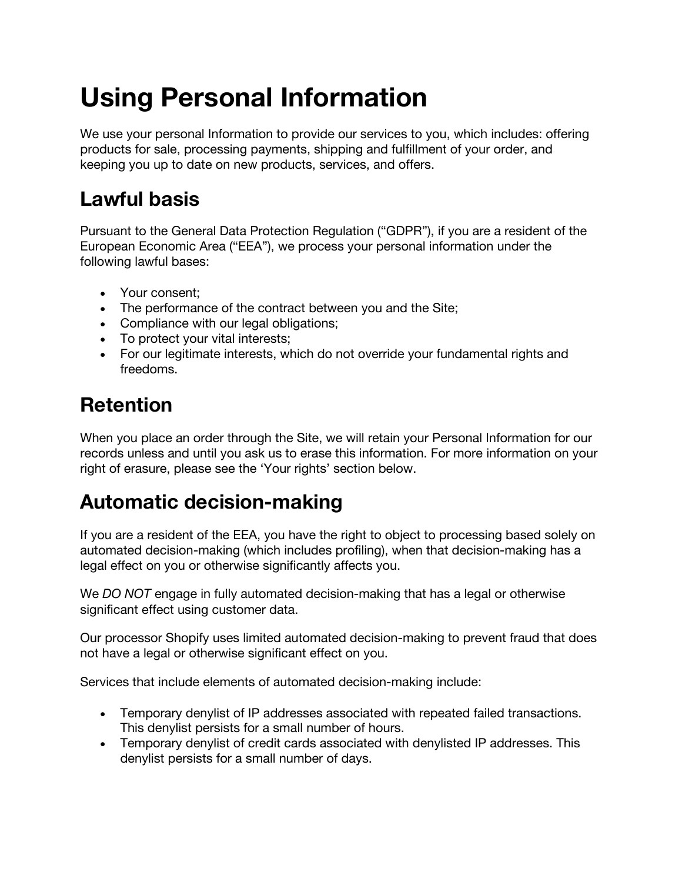# **Using Personal Information**

We use your personal Information to provide our services to you, which includes: offering products for sale, processing payments, shipping and fulfillment of your order, and keeping you up to date on new products, services, and offers.

## **Lawful basis**

Pursuant to the General Data Protection Regulation ("GDPR"), if you are a resident of the European Economic Area ("EEA"), we process your personal information under the following lawful bases:

- Your consent;
- The performance of the contract between you and the Site;
- Compliance with our legal obligations;
- To protect your vital interests;
- For our legitimate interests, which do not override your fundamental rights and freedoms.

### **Retention**

When you place an order through the Site, we will retain your Personal Information for our records unless and until you ask us to erase this information. For more information on your right of erasure, please see the 'Your rights' section below.

### **Automatic decision-making**

If you are a resident of the EEA, you have the right to object to processing based solely on automated decision-making (which includes profiling), when that decision-making has a legal effect on you or otherwise significantly affects you.

We *DO NOT* engage in fully automated decision-making that has a legal or otherwise significant effect using customer data.

Our processor Shopify uses limited automated decision-making to prevent fraud that does not have a legal or otherwise significant effect on you.

Services that include elements of automated decision-making include:

- Temporary denylist of IP addresses associated with repeated failed transactions. This denylist persists for a small number of hours.
- Temporary denylist of credit cards associated with denylisted IP addresses. This denylist persists for a small number of days.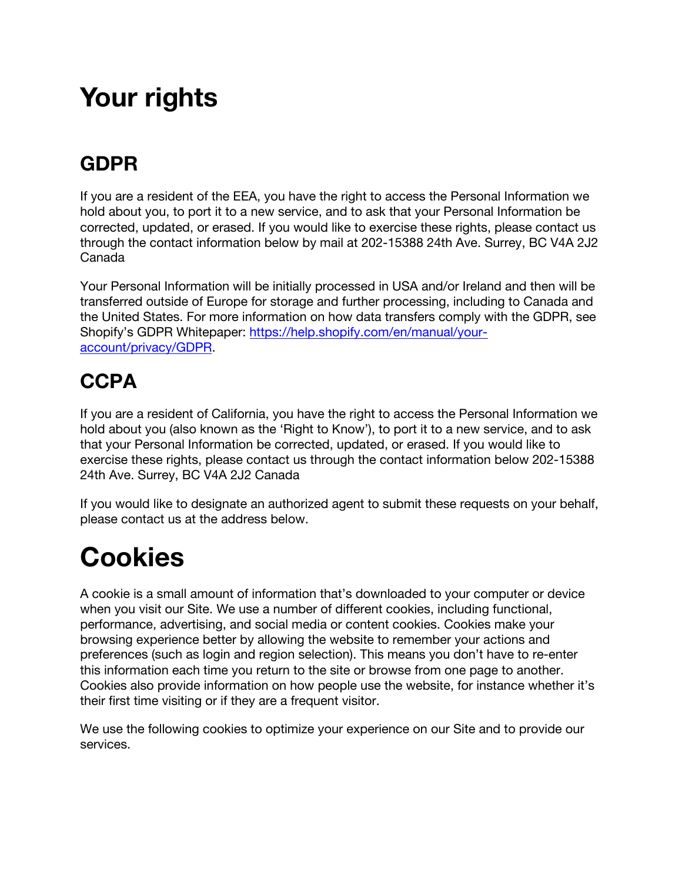## **Your rights**

### **GDPR**

If you are a resident of the EEA, you have the right to access the Personal Information we hold about you, to port it to a new service, and to ask that your Personal Information be corrected, updated, or erased. If you would like to exercise these rights, please contact us through the contact information below by mail at 202-15388 24th Ave. Surrey, BC V4A 2J2 Canada

Your Personal Information will be initially processed in USA and/or Ireland and then will be transferred outside of Europe for storage and further processing, including to Canada and the United States. For more information on how data transfers comply with the GDPR, see Shopify's GDPR Whitepaper: https://help.shopify.com/en/manual/youraccount/privacy/GDPR.

## **CCPA**

If you are a resident of California, you have the right to access the Personal Information we hold about you (also known as the 'Right to Know'), to port it to a new service, and to ask that your Personal Information be corrected, updated, or erased. If you would like to exercise these rights, please contact us through the contact information below 202-15388 24th Ave. Surrey, BC V4A 2J2 Canada

If you would like to designate an authorized agent to submit these requests on your behalf, please contact us at the address below.

# **Cookies**

A cookie is a small amount of information that's downloaded to your computer or device when you visit our Site. We use a number of different cookies, including functional, performance, advertising, and social media or content cookies. Cookies make your browsing experience better by allowing the website to remember your actions and preferences (such as login and region selection). This means you don't have to re-enter this information each time you return to the site or browse from one page to another. Cookies also provide information on how people use the website, for instance whether it's their first time visiting or if they are a frequent visitor.

We use the following cookies to optimize your experience on our Site and to provide our services.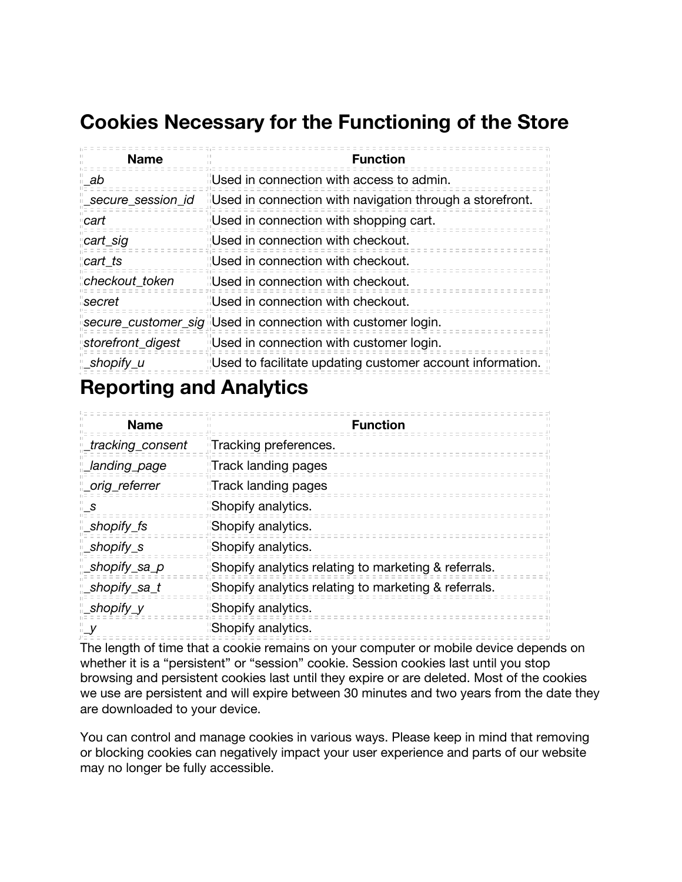### **Cookies Necessary for the Functioning of the Store**

| <b>Name</b>        | <b>Function</b>                                             |
|--------------------|-------------------------------------------------------------|
| ab a               | <b>I</b> Used in connection with access to admin.           |
| _secure_session_id | Used in connection with navigation through a storefront.    |
| cart               | Used in connection with shopping cart.                      |
| cart_sig           | "Used in connection with checkout.                          |
| cart ts            | "Used in connection with checkout.                          |
| checkout_token     | <b>IIUsed in connection with checkout.</b>                  |
| secret             | <b>I</b> Used in connection with checkout.                  |
|                    | secure_customer_sig Used in connection with customer login. |
| storefront_digest  | Used in connection with customer login.                     |
| _shopify_u         | Used to facilitate updating customer account information.   |

### **Reporting and Analytics**

| <b>Name</b>       | <b>Function</b>                                       |
|-------------------|-------------------------------------------------------|
| _tracking_consent | Tracking preferences.                                 |
| Landing_page      | Track landing pages                                   |
| _orig_referrer    | Track landing pages                                   |
| S.                | "Shopify analytics.                                   |
| _shopify_fs       | Shopify analytics.                                    |
| _shopify_s        | Shopify analytics.                                    |
| _shopify_sa_p     | Shopify analytics relating to marketing & referrals.  |
| shopify_sa_t_     | "Shopify analytics relating to marketing & referrals. |
| shopify_y_        | "Shopify analytics.                                   |
| - V               | Shopify analytics.                                    |

The length of time that a cookie remains on your computer or mobile device depends on whether it is a "persistent" or "session" cookie. Session cookies last until you stop browsing and persistent cookies last until they expire or are deleted. Most of the cookies we use are persistent and will expire between 30 minutes and two years from the date they are downloaded to your device.

You can control and manage cookies in various ways. Please keep in mind that removing or blocking cookies can negatively impact your user experience and parts of our website may no longer be fully accessible.